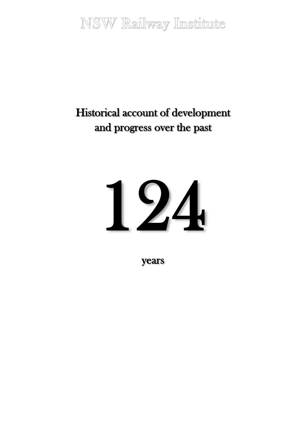NSW Railway Institute

# Historical account of development and progress over the past

# 124

years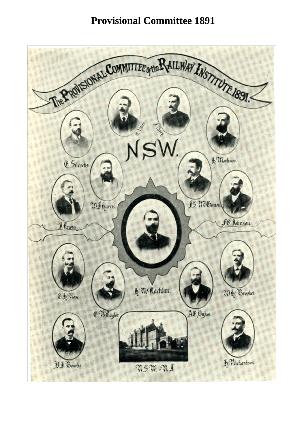# **Provisional Committee 1891**

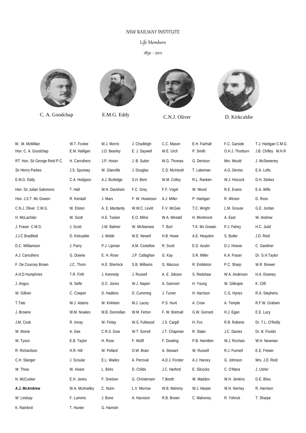### NSW RAILWAY INSTITUTE

### Life Members

1891 - 2011



C. A. Goodchap E.M.G. Eddy C.N.J. Oliver D. Kirkcaldie







| W. .M. McMillan<br>Hon. C. A. Goodchap | W.T. Foxlee<br>E.M. Halligan | W.J. Morris<br>J.D. Bearley | J. Chudleigh<br>E. J. Saywell | C.C. Mason<br>W.E. Urch | E.H. Fairhall<br>P. Smith | F.C. Garside<br>O.H.J. Thorburn | T.J. Hartigan C.M.G.<br>J.B. Chifley M.H.R |
|----------------------------------------|------------------------------|-----------------------------|-------------------------------|-------------------------|---------------------------|---------------------------------|--------------------------------------------|
| RT. Hon. Sir George Reid P.C.          | H. Carruthers                | J.P. Horan                  | J. B. Suttor                  | W.G. Thomas             | G. Denison                | Mrs. Mould                      | J. McSweeney                               |
| Sir Henry Parkes                       | J.S. Spurway                 | W. Glanville                | J. Douglas                    | C.D. McIntosh           | T. Lakeman                | A.G. Deniss                     | E.A. Lofts                                 |
| E.M.G. Eddy                            | C.A. Hodgson                 | A.J. Burbidge               | S.H. Bent                     | W.M. Colley             | R.L. Ranken               | W.J. Hiscock                    | D.H. Stokes                                |
| Hon. Sir Julian Salomons               | T. Hall                      | W.H. Davidson               | F.C. Grey                     | F.F. Vogel              | W. Wood                   | R.E. Evans                      | E.A. Wills                                 |
| Hon. J.S.T. Mc Gowen                   | R. Kendall                   | J. Mars                     | F. W. Howieson                | A.J. Miller             | P. Hartigan               | R. Winsor                       | D. Ross                                    |
| C.N.J. Oliver C.M.G.                   | W. Elston                    | A. E. Mardardy              | W.W.C. Levitt                 | F.V. McGee              | T.C. Wright               | L.M. Grouse                     | G.E. Jordan                                |
| H. McLachlan                           | W. Scott                     | H.E. Tooker                 | E.O. Milne                    | W.A. Westall            | H. Mortimore              | A. East                         | W. Andrew                                  |
| J. Fraser C.M.G.                       | J. Scott                     | J.W. Balmer                 | W. McNamara                   | T. Burt                 | T.K. Mc Gowan             | P.J. Fahey                      | H.C. Judd                                  |
| J.J.C Bradfield                        | D. Kirkcaldie                | J. Webb                     | W.E. Newell                   | H.B. Howe               | A.E. Heaydon              | S. Butler                       | J.D. Reid                                  |
| D.C. Williamson                        | J. Parry                     | P.J. Lipman                 | A.M. Costelloe                | R. Scott                | E.D. Austin               | D.J. Howse                      | C. Gardiner                                |
| A.J. Carruthers                        | G. Downe                     | E. H. Rose                  | J.P. Callaghan                | G. Kay                  | S.R. Miller               | K.A. Fraser                     | Dr. G.H.Taylor                             |
| F. De Courcey Brown                    | J.C. Thom                    | H.E. Sherlock               | S.B. Williams                 | G. Macoun               | R. Embleton               | P.C. Sharp                      | W.R. Brewer                                |
| A.H.D Humphries                        | T.R. Firth                   | J. Kennedy                  | J. Russell                    | A. E. Jobson            | S. Redshaw                | W.A. Anderson                   | H.A. Downey                                |
| J. Angus                               | N. Selfe                     | G.C. Jones                  | W.J. Napier                   | A. Gannoni              | H. Young                  | W. Gillespie                    | K. Clift                                   |
| W. Gilliver                            | C. Cowper                    | D. Hadkins                  | D. Cumming                    | J. Turner               | H. Harrison               | C.G. Hynes                      | R.A. Stephens                              |
| T.Tate                                 | W.J. Adams                   | W. Kirkham                  | M.J. Lacey                    | P.S. Hunt               | A. Crow                   | A. Temple                       | R.F.W. Graham                              |
| J. Browne                              | W.M. Noakes                  | M.B. Donnellan              | W.M. Fehon                    | F. W. Bretnall          | G.W. Gerrard              | H.J. Egan                       | E.E. Lucy                                  |
| J.M. Cook                              | R. Imray                     | W. Finlay                   | W.S. Fullwood                 | J.S. Cargill            | H. Fox                    | R.B. Roberts                    | Dr. T.L. O'Reilly                          |
| W. Monie                               | A. Gee                       | C.R.S. Gow                  | W.T. Sorrell                  | J.T. Chapman            | R. Slater                 | J.C. Davies                     | Dr. B. Foulds                              |
| W. Tyson                               | E.B. Taylor                  | H. Rose                     | F. Wollf                      | F. Dowling              | P.B. Hamilton             | W.J. Rochaix                    | W.H. Newman                                |
| R. Richardson                          | H.R. Hill                    | W. Pollard                  | O.W. Brain                    | A. Stewart              | W. Russell                | R.J. Funnell                    | E.E. Frewin                                |
| C.H. Stanger                           | J. Scoular                   | E.L. Wailes                 | A. Percival                   | A.D.J. Forster          | A.J. Harvey               | G. Johnson                      | Mrs. J.D. Reid                             |
| W. Thow                                | W. Hoare                     | L. Birks                    | D. Childs                     | J.C. Harford            | E. Silcocks               | C. O'Mara                       | J. Usher                                   |
| N. McCusker                            | E.H. Jones                   | F. Snelson                  | G. Christensen                | T.Booth                 | W. Maddox                 | W.H. Jenkins                    | D.E. Bliss                                 |
| A.J. McAndrew                          | W.A. McAnalley               | C. Nunn                     | L.V. Morrow                   | W.B. Mahony             | W.J. Harper               | W.H. Nerney                     | R. Harrison                                |
| W. Lindsay                             | F. Lummis                    | J. Bone                     | A. Harvison                   | R.B. Brown              | C. Mahoney                | R. Yohnck                       | T. Sharpe                                  |
| K. Rainford                            | T. Hunter                    | G. Harnish                  |                               |                         |                           |                                 |                                            |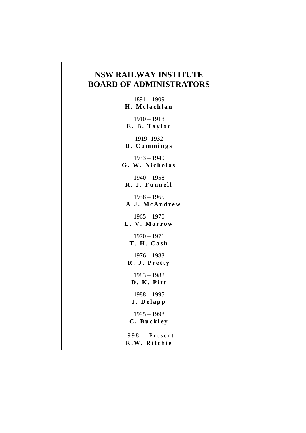## **NSW RAILWAY INSTITUTE BOARD OF ADMINISTRATORS**

1891 – 1909 **H. Mclachlan** 1910 – 1918 **E. B. Taylor** 1919- 1932 **D. Cummings** 1933 – 1940 **G. W. Nicholas** 1940 – 1958 **R. J. Funnell** 1958 – 1965 **A J. McAndrew** 1965 – 1970 **L. V. Morrow** 1970 – 1976 **T. H. Cash** 1976 – 1983 **R. J. Pretty** 1983 – 1988 **D. K. Pitt** 1988 – 1995 **J. Delapp** 1995 – 1998 **C. Buckley** 1998 – Present **R.W. Ritchie**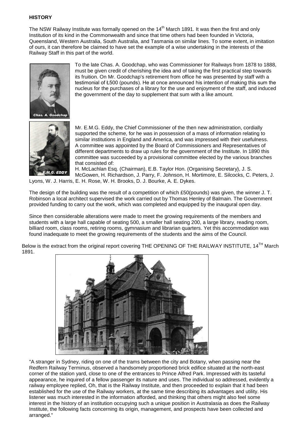### **HISTORY**

The NSW Railway Institute was formally opened on the 14<sup>th</sup> March 1891. It was then the first and only Institution of its kind in the Commonwealth and since that time others had been founded in Victoria, Queensland, Western Australia, South Australia, and Tasmania on similar lines. To some extent, in imitation of ours, it can therefore be claimed to have set the example of a wise undertaking in the interests of the Railway Staff in this part of the world.



To the late Chas. A. Goodchap, who was Commissioner for Railways from 1878 to 1888, must be given credit of cherishing the idea and of taking the first practical step towards its fruition. On Mr. Goodchap's retirement from office he was presented by staff with a testimonial of Ł500 (pounds). He at once announced his intention of making this sum the nucleus for the purchases of a library for the use and enjoyment of the staff, and induced the government of the day to supplement that sum with a like amount.



Mr. E.M.G. Eddy, the Chief Commissioner of the then new administration, cordially supported the scheme, for he was in possession of a mass of information relating to similar institutions in England and America, and was impressed with their usefulness. A committee was appointed by the Board of Commissioners and Representatives of different departments to draw up rules for the government of the Institute. In 1890 this committee was succeeded by a provisional committee elected by the various branches that consisted of:

H. McLachlan Esq. (Chairman), E.B. Taylor Hon. (Organising Secretary), J. S. McGowen, H. Richardson, J. Parry, F. Johnson, H. Mortimore, E. Silcocks, C. Peters, J.

Lyons, W. J. Harris, E. H. Rose, W. H. Brooks, D. J. Bourke, A. E. Dykes.

The design of the building was the result of a competition of which £50(pounds) was given, the winner J. T. Robinson a local architect supervised the work carried out by Thomas Henley of Balmain. The Government provided funding to carry out the work, which was completed and equipped by the inaugural open day.

Since then considerable alterations were made to meet the growing requirements of the members and students with a large hall capable of seating 500, a smaller hall seating 200, a large library, reading room, billiard room, class rooms, retiring rooms, gymnasium and librarian quarters. Yet this accommodation was found inadequate to meet the growing requirements of the students and the aims of the Council.

Below is the extract from the original report covering THE OPENING OF THE RAILWAY INSTITUTE, 14<sup>TH</sup> March 1891.



"A stranger in Sydney, riding on one of the trams between the city and Botany, when passing near the Redfern Railway Terminus, observed a handsomely proportioned brick edifice situated at the north-east corner of the station yard, close to one of the entrances to Prince Alfred Park. Impressed with its tasteful appearance, he inquired of a fellow passenger its nature and uses. The individual so addressed, evidently a railway employee replied, Oh, that is the Railway Institute, and then proceeded to explain that it had been established for the use of the Railway workers, at the same time describing its advantages and utility. His listener was much interested in the information afforded, and thinking that others might also feel some interest in the history of an institution occupying such a unique position in Australasia as does the Railway Institute, the following facts concerning its origin, management, and prospects have been collected and arranged."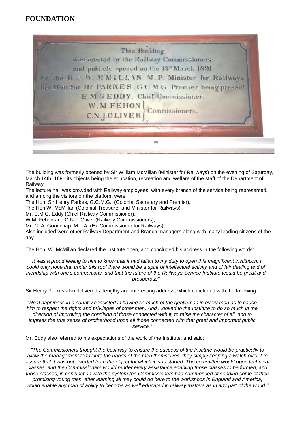### **FOUNDATION**



The building was formerly opened by Sir William McMillan (Minister for Railways) on the evening of Saturday, March 14th, 1891 its objects being the education, recreation and welfare of the staff of the Department of Railway.

The lecture hall was crowded with Railway employees, with every branch of the service being represented, and among the visitors on the platform were:

The Hon. Sir Henry Parkes, G.C.M.G., (Colonial Secretary and Premier),

The Hon W. McMillan (Colonial Treasurer and Minister for Railways),

Mr. E.M.G. Eddy (Chief Railway Commissioner),

W.M. Fehon and C.N.J. Oliver (Railway Commissioners),

Mr. C. A. Goodchap, M.L.A. (Ex-Commissioner for Railways).

Also included were other Railway Department and Branch managers along with many leading citizens of the day.

The Hon. W. McMillan declared the Institute open, and concluded his address in the following words:

*"It was a proud feeling to him to know that it had fallen to my duty to open this magnificent institution. I could only hope that under this roof there would be a spirit of intellectual activity and of fair dealing and of friendship with one's companions, and that the future of the Railways Service Institute would be great and prosperous"*

Sir Henry Parkes also delivered a lengthy and interesting address, which concluded with the following:

*"Real happiness in a country consisted in having so much of the gentleman in every man as to cause him to respect the rights and privileges of other men. And I looked to the Institute to do so much in the direction of improving the condition of those connected with it, to raise the character of all, and to impress the true sense of brotherhood upon all those connected with that great and important public service."*

Mr. Eddy also referred to his expectations of the work of the Institute, and said:

*"The Commissioners thought the best way to ensure the success of the Institute would be practically to allow the management to fall into the hands of the men themselves, they simply keeping a watch over it to assure that it was not diverted from the object for which it was started. The committee would open technical classes, and the Commissioners would render every assistance enabling those classes to be formed, and those classes, in conjunction with the system the Commissioners had commenced of sending some of their* 

*promising young men, after learning all they could do here to the workshops in England and America, would enable any man of ability to become as well educated in railway matters as in any part of the world."*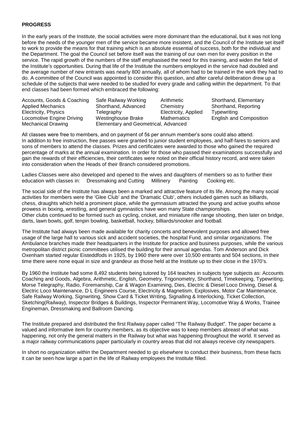### **PROGRESS**

In the early years of the Institute, the social activities were more dominant than the educational, but it was not long before the needs of the younger men of the service became more insistent, and the Council of the Institute set itself to work to provide the means for that training which is an absolute essential of success, both for the individual and the Department. The goal the Council set before itself was the training of our own men for every position in the service. The rapid growth of the numbers of the staff emphasised the need for this training, and widen the field of the Institute's opportunities. During that life of the Institute the numbers employed in the service had doubled and the average number of new entrants was nearly 800 annually, all of whom had to be trained in the work they had to do. A committee of the Council was appointed to consider this question, and after careful deliberation drew up a schedule of the subjects that were needed to be studied for every grade and calling within the department. To that end classes had been formed which embraced the following:

| Accounts, Goods & Coaching | Safe Railway Working                 | Arithmetic           | Shorthand, Elementary          |  |  |
|----------------------------|--------------------------------------|----------------------|--------------------------------|--|--|
| <b>Applied Mechanics</b>   | Shorthand, Advanced                  | Chemistry            | Shorthand, Reporting           |  |  |
| Electricity, Physics       | Telegraphy                           | Electricity, Applied | Typewriting                    |  |  |
| Locomotive Engine Driving  | Westinghouse Brake                   | Mathematics          | <b>English and Composition</b> |  |  |
| <b>Mechanical Drawing</b>  | Elementary and Geometrical, Advanced |                      |                                |  |  |

All classes were free to members, and on payment of 5ś per annum member's sons could also attend. In addition to free instruction, free passes were granted to junior student employees, and half-fares to seniors and sons of members to attend the classes. Prizes and certificates were awarded to those who gained the required percentage of marks at the annual examination. In order for those who passed their examinations successfully and gain the rewards of their efficiencies, their certificates were noted on their official history record, and were taken into consideration when the Heads of their Branch considered promotions.

Ladies Classes were also developed and opened to the wives and daughters of members so as to further their education with classes in: Dressmaking and Cutting Millinery Painting Cooking etc. education with classes in: Dressmaking and Cutting Millinery Painting Cooking etc.

The social side of the Institute has always been a marked and attractive feature of its life. Among the many social activities for members were the 'Glee Club' and the 'Dramatic Club', others included games such as billiards, chess, draughts which held a prominent place, while the gymnasium attracted the young and active youths whose prowess in boxing, wrestling, and general gymnastics have won many State championships. Other clubs continued to be formed such as cycling, cricket, and miniature rifle range shooting, then later on bridge, darts, lawn bowls, golf, tenpin bowling, basketball, hockey, billiards/snooker and football.

The Institute had always been made available for charity concerts and benevolent purposes and allowed free usage of the large hall to various sick and accident societies, the hospital Fund, and similar organizations. The Ambulance branches made their headquarters in the Institute for practice and business purposes, while the various metropolitan district picnic committees utilised the building for their annual agendas. Tom Anderson and Dick Oxenham started regular Eisteddfods in 1925, by 1960 there were over 10,500 entrants and 504 sections, in their time there were none equal in size and grandeur as those held at the Institute up to their close in the 1970's.

By 1960 the Institute had some 8,492 students being tutored by 164 teaches in subjects type subjects as: Accounts Coaching and Goods, Algebra, Arithmetic, English, Geometry, Trigonometry, Shorthand, Timekeeping, Typewriting, Morse Telegraphy, Radio, Foremanship, Car & Wagon Examining, Dies, Electric & Diesel Loco Driving, Diesel & Electric Loco Maintenance, D L Engineers Course, Electricity & Magnetism, Explosives, Motor Car Maintenance, Safe Railway Working, Signwriting, Show Card & Ticket Writing, Signalling & Interlocking, Ticket Collection, Sketching(Railway), Inspector Bridges & Buildings, Inspector Permanent Way, Locomotive Way & Works, Trainee Engineman, Dressmaking and Ballroom Dancing.

The Institute prepared and distributed the first Railway paper called "The Railway Budget". The paper became a valued and informative item for country members, as its objective was to keep members abreast of what was happening, not only the general matters in the Railway but what was happening throughout the world. It served as a major railway communications paper particularly in country areas that did not always receive city newspapers.

In short no organization within the Department needed to go elsewhere to conduct their business, from these facts it can be seen how large a part in the life of Railway employees the Institute filled.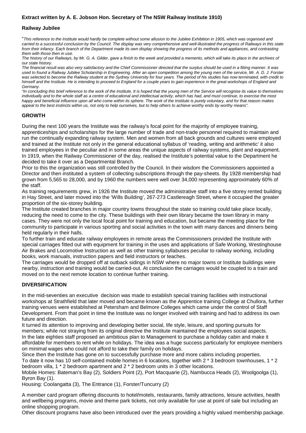### **Extract written by A. E. Jobson Hon. Secretary of The NSW Railway Institute 1910)**

### **Railway Jubilee**

"*This reference to the Institute would hardly be complete without some allusion to the Jubilee Exhibition in 1905, which was organised and carried to a successful conclusion by the Council. The display was very comprehensive and well-illustrated the progress of Railways in this state from their infancy. Each branch of the Department made its own display showing the progress of its methods and appliances, and contrasting them with those then in use.*

*The history of our Railways, by Mr. G. A. Gilder, gave a finish to the week and provided a memento, which will take its place in the archives of our state history.*

*The financial result was also very satisfactory and the Chief Commissioner directed that the surplus should be used in a fitting manner. It was used to found a Railway Jubilee Scholarship in Engineering. After an open competition among the young men of the service, Mr. A. D. J. Forster was selected to become the Railway student at the Sydney University for four years. The period of his studies has now terminated, with credit to himself and the Institute. He is intending to proceed to England for a couple years to gain experience in the great workshops of England and Germany.*

*"In concluding this brief reference to the work of the Institute, It is hoped that the young men of the Service will recognise its value to themselves individually and to the whole staff as a centre of educational and intellectual activity, which has had, and must continue, to exercise the most happy and beneficial influence upon all who come within its sphere. The work of the Institute is purely voluntary, and for that reason makes appeal to the best instincts within us, not only to help ourselves, but to help others to achieve worthy ends by worthy means".*

### **GROWTH**

During the next 100 years the Institute was the railway's focal point for the majority of employee training, apprenticeships and scholarships for the large number of trade and non-trade personnel required to maintain and run the continually expanding railway system. Men and women from all back grounds and cultures were employed and trained at the Institute not only in the general educational syllabus of 'reading, writing and arithmetic' it also trained employees in the peculiar and in some areas the unique aspects of railway systems, plant and equipment. In 1919, when the Railway Commissioner of the day, realised the Institute's potential value to the Department he decided to take it over as a Departmental Branch.

Prior to this the organization was still controlled by the Council. In their wisdom the Commissioners appointed a Director and then instituted a system of collecting subscriptions through the pay-sheets. By 1928 membership had grown from 5,565 to 28,000, and by 1960 the numbers were well over 34,000 representing approximately 60% of the staff.

As training requirements grew, in 1926 the Institute moved the administrative staff into a five storey rented building in Hay Street, and later moved into the 'Wills Building', 267-273 Castlereagh Street, where it occupied the greater proportion of the six-storey building.

The Institute created branches in major country towns throughout the state so training could take place locally, reducing the need to come to the city. These buildings with their own library became the town library in many cases. They were not only the local focal point for training and education, but became the meeting place for the community to participate in various sporting and social activities in the town with many dances and dinners being held regularly in their halls.

To further train and educate railway employees in remote areas the Commissioners provided the Institute with special carriages fitted out with equipment for training in the uses and applications of Safe Working, Westinghouse Air Brakes and Locomotive Instruction as well as other training syllabuses peculiar to railway working, including books, work manuals, instruction papers and field instructors or teaches.

The carriages would be dropped off at outback sidings in NSW where no major towns or Institute buildings were nearby, instruction and training would be carried-out. At conclusion the carriages would be coupled to a train and moved on to the next remote location to continue further training.

### **DIVERSIFICATION**

In the mid-seventies an executive decision was made to establish special training facilities with instructional workshops at Strathfield that later moved and became known as the Apprentice training College at Chullora, further training venues were established at Petersham and Belmore Colleges which came under the control of Staff Development. From that point in time the Institute was no longer involved with training and had to address its own future and direction.

It turned its attention to improving and developing better social, life style, leisure, and sporting pursuits for members; while not straying from its original directive the Institute maintained the employees social aspects. In the late eighties staff proposed an ambitious plan to Management to purchase a holiday cabin and make it affordable for members to rent while on holidays. The idea was a huge success particularly for employee members on minimal wages who could not afford to take their family on holidays.

Since then the Institute has gone on to successfully purchase more and more cabins including properties. To date it now has 10 self-contained mobile homes in 6 locations, together with 2 \* 3 bedroom townhouses, 1 \* 2 bedroom villa, 1 \* 2 bedroom apartment and 2 \* 2 bedroom units in 3 other locations.

Mobile Homes: Bateman's Bay (2), Soldiers Point (2), Port Macquarie (2), Nambucca Heads (2), Woolgoolga (1), Byron Bay (1).

Housing: Coolangatta (3), The Entrance (1), Forster/Tuncurry (2)

A member card program offering discounts to hotel/motels, restaurants, family attractions, leisure activities, health and wellbeing programs, movie and theme park tickets, not only available for use at point of sale but including an online shopping program.

Other discount programs have also been introduced over the years providing a highly valued membership package.